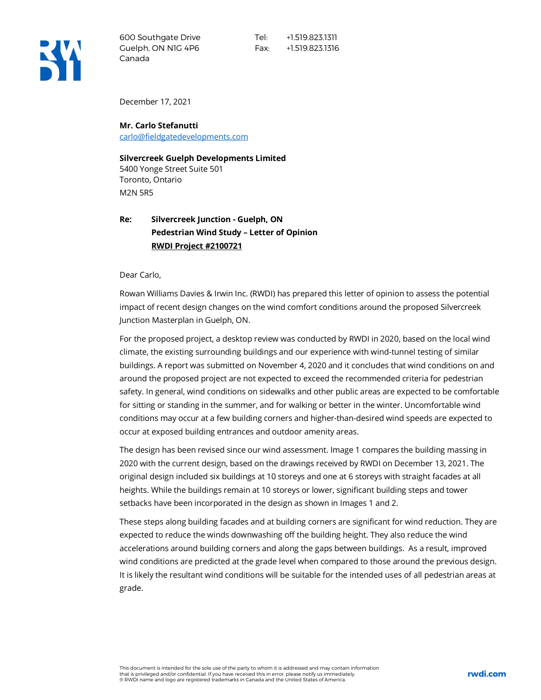

Canada

December 17, 2021

**Mr. Carlo Stefanutti** [carlo@fieldgatedevelopments.com](mailto:carlo@fieldgatedevelopments.com)

**Silvercreek Guelph Developments Limited** 5400 Yonge Street Suite 501 Toronto, Ontario

M2N 5R5

## **Re: Silvercreek Junction - Guelph, ON Pedestrian Wind Study – Letter of Opinion RWDI Project #2100721**

Dear Carlo,

Rowan Williams Davies & Irwin Inc. (RWDI) has prepared this letter of opinion to assess the potential impact of recent design changes on the wind comfort conditions around the proposed Silvercreek Junction Masterplan in Guelph, ON.

For the proposed project, a desktop review was conducted by RWDI in 2020, based on the local wind climate, the existing surrounding buildings and our experience with wind-tunnel testing of similar buildings. A report was submitted on November 4, 2020 and it concludes that wind conditions on and around the proposed project are not expected to exceed the recommended criteria for pedestrian safety. In general, wind conditions on sidewalks and other public areas are expected to be comfortable for sitting or standing in the summer, and for walking or better in the winter. Uncomfortable wind conditions may occur at a few building corners and higher-than-desired wind speeds are expected to occur at exposed building entrances and outdoor amenity areas.

The design has been revised since our wind assessment. Image 1 compares the building massing in 2020 with the current design, based on the drawings received by RWDI on December 13, 2021. The original design included six buildings at 10 storeys and one at 6 storeys with straight facades at all heights. While the buildings remain at 10 storeys or lower, significant building steps and tower setbacks have been incorporated in the design as shown in Images 1 and 2.

These steps along building facades and at building corners are significant for wind reduction. They are expected to reduce the winds downwashing off the building height. They also reduce the wind accelerations around building corners and along the gaps between buildings. As a result, improved wind conditions are predicted at the grade level when compared to those around the previous design. It is likely the resultant wind conditions will be suitable for the intended uses of all pedestrian areas at grade.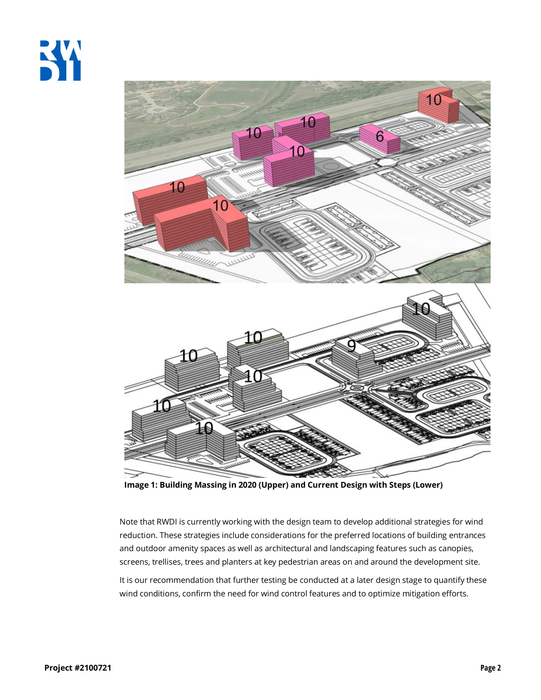



**Image 1: Building Massing in 2020 (Upper) and Current Design with Steps (Lower)** 

Note that RWDI is currently working with the design team to develop additional strategies for wind reduction. These strategies include considerations for the preferred locations of building entrances and outdoor amenity spaces as well as architectural and landscaping features such as canopies, screens, trellises, trees and planters at key pedestrian areas on and around the development site.

It is our recommendation that further testing be conducted at a later design stage to quantify these wind conditions, confirm the need for wind control features and to optimize mitigation efforts.